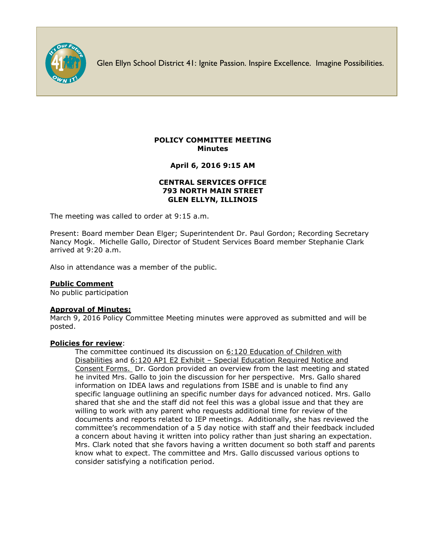

Glen Ellyn School District 41: Ignite Passion. Inspire Excellence. Imagine Possibilities.

# **POLICY COMMITTEE MEETING Minutes**

**April 6, 2016 9:15 AM**

### **CENTRAL SERVICES OFFICE 793 NORTH MAIN STREET GLEN ELLYN, ILLINOIS**

The meeting was called to order at 9:15 a.m.

Present: Board member Dean Elger; Superintendent Dr. Paul Gordon; Recording Secretary Nancy Mogk. Michelle Gallo, Director of Student Services Board member Stephanie Clark arrived at 9:20 a.m.

Also in attendance was a member of the public.

# **Public Comment**

No public participation

#### **Approval of Minutes:**

March 9, 2016 Policy Committee Meeting minutes were approved as submitted and will be posted.

#### **Policies for review**:

The committee continued its discussion on 6:120 Education of Children with Disabilities and 6:120 AP1 E2 Exhibit – Special Education Required Notice and Consent Forms. Dr. Gordon provided an overview from the last meeting and stated he invited Mrs. Gallo to join the discussion for her perspective. Mrs. Gallo shared information on IDEA laws and regulations from ISBE and is unable to find any specific language outlining an specific number days for advanced noticed. Mrs. Gallo shared that she and the staff did not feel this was a global issue and that they are willing to work with any parent who requests additional time for review of the documents and reports related to IEP meetings. Additionally, she has reviewed the committee's recommendation of a 5 day notice with staff and their feedback included a concern about having it written into policy rather than just sharing an expectation. Mrs. Clark noted that she favors having a written document so both staff and parents know what to expect. The committee and Mrs. Gallo discussed various options to consider satisfying a notification period.